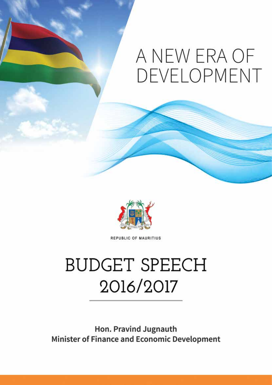# A NEW ERA OF DEVELOPMENT



REPUBLIC OF MAURITIUS

# **BUDGET SPEECH** 2016/2017

Hon. Pravind Jugnauth **Minister of Finance and Economic Development**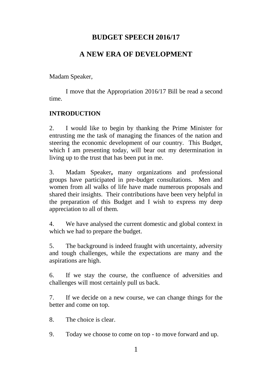## **BUDGET SPEECH 2016/17**

# **A NEW ERA OF DEVELOPMENT**

Madam Speaker,

I move that the Appropriation 2016/17 Bill be read a second time.

## **INTRODUCTION**

2. I would like to begin by thanking the Prime Minister for entrusting me the task of managing the finances of the nation and steering the economic development of our country. This Budget, which I am presenting today, will bear out my determination in living up to the trust that has been put in me.

3. Madam Speaker**,** many organizations and professional groups have participated in pre-budget consultations. Men and women from all walks of life have made numerous proposals and shared their insights. Their contributions have been very helpful in the preparation of this Budget and I wish to express my deep appreciation to all of them.

4. We have analysed the current domestic and global context in which we had to prepare the budget.

5. The background is indeed fraught with uncertainty, adversity and tough challenges, while the expectations are many and the aspirations are high.

6. If we stay the course, the confluence of adversities and challenges will most certainly pull us back.

7. If we decide on a new course, we can change things for the better and come on top.

8. The choice is clear.

9. Today we choose to come on top - to move forward and up.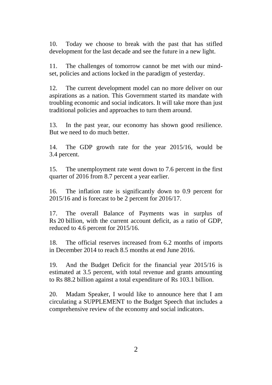10. Today we choose to break with the past that has stifled development for the last decade and see the future in a new light.

11. The challenges of tomorrow cannot be met with our mindset, policies and actions locked in the paradigm of yesterday.

12. The current development model can no more deliver on our aspirations as a nation. This Government started its mandate with troubling economic and social indicators. It will take more than just traditional policies and approaches to turn them around.

13. In the past year, our economy has shown good resilience. But we need to do much better.

14. The GDP growth rate for the year 2015/16, would be 3.4 percent.

15. The unemployment rate went down to 7.6 percent in the first quarter of 2016 from 8.7 percent a year earlier.

16. The inflation rate is significantly down to 0.9 percent for 2015/16 and is forecast to be 2 percent for 2016/17.

17. The overall Balance of Payments was in surplus of Rs 20 billion, with the current account deficit, as a ratio of GDP, reduced to 4.6 percent for 2015/16.

18. The official reserves increased from 6.2 months of imports in December 2014 to reach 8.5 months at end June 2016.

19. And the Budget Deficit for the financial year 2015/16 is estimated at 3.5 percent, with total revenue and grants amounting to Rs 88.2 billion against a total expenditure of Rs 103.1 billion.

20. Madam Speaker, I would like to announce here that I am circulating a SUPPLEMENT to the Budget Speech that includes a comprehensive review of the economy and social indicators.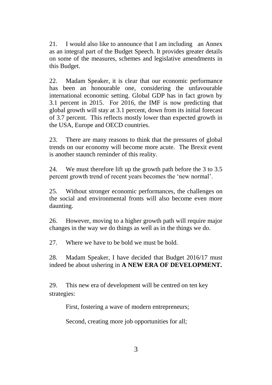21. I would also like to announce that I am including an Annex as an integral part of the Budget Speech. It provides greater details on some of the measures, schemes and legislative amendments in this Budget.

22. Madam Speaker, it is clear that our economic performance has been an honourable one, considering the unfavourable international economic setting. Global GDP has in fact grown by 3.1 percent in 2015. For 2016, the IMF is now predicting that global growth will stay at 3.1 percent, down from its initial forecast of 3.7 percent. This reflects mostly lower than expected growth in the USA, Europe and OECD countries.

23. There are many reasons to think that the pressures of global trends on our economy will become more acute. The Brexit event is another staunch reminder of this reality.

24. We must therefore lift up the growth path before the 3 to 3.5 percent growth trend of recent years becomes the 'new normal'.

25. Without stronger economic performances, the challenges on the social and environmental fronts will also become even more daunting.

26. However, moving to a higher growth path will require major changes in the way we do things as well as in the things we do.

27. Where we have to be bold we must be bold.

28. Madam Speaker, I have decided that Budget 2016/17 must indeed be about ushering in **A NEW ERA OF DEVELOPMENT.** 

29. This new era of development will be centred on ten key strategies:

First, fostering a wave of modern entrepreneurs;

Second, creating more job opportunities for all;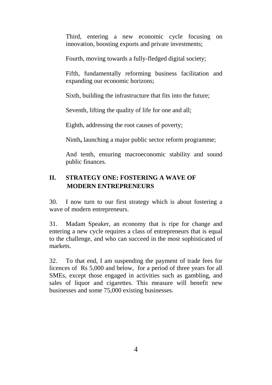Third, entering a new economic cycle focusing on innovation, boosting exports and private investments;

Fourth, moving towards a fully-fledged digital society;

Fifth, fundamentally reforming business facilitation and expanding our economic horizons;

Sixth, building the infrastructure that fits into the future;

Seventh, lifting the quality of life for one and all;

Eighth, addressing the root causes of poverty;

Ninth**,** launching a major public sector reform programme;

And tenth, ensuring macroeconomic stability and sound public finances.

## **II. STRATEGY ONE: FOSTERING A WAVE OF MODERN ENTREPRENEURS**

30. I now turn to our first strategy which is about fostering a wave of modern entrepreneurs.

31. Madam Speaker, an economy that is ripe for change and entering a new cycle requires a class of entrepreneurs that is equal to the challenge, and who can succeed in the most sophisticated of markets.

32. To that end, I am suspending the payment of trade fees for licences of Rs 5,000 and below, for a period of three years for all SMEs, except those engaged in activities such as gambling, and sales of liquor and cigarettes. This measure will benefit new businesses and some 75,000 existing businesses.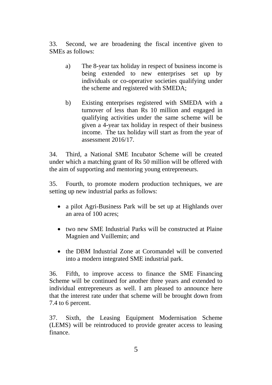33. Second, we are broadening the fiscal incentive given to SMEs as follows:

- a) The 8-year tax holiday in respect of business income is being extended to new enterprises set up by individuals or co-operative societies qualifying under the scheme and registered with SMEDA;
- b) Existing enterprises registered with SMEDA with a turnover of less than Rs 10 million and engaged in qualifying activities under the same scheme will be given a 4-year tax holiday in respect of their business income. The tax holiday will start as from the year of assessment 2016/17.

34. Third, a National SME Incubator Scheme will be created under which a matching grant of Rs 50 million will be offered with the aim of supporting and mentoring young entrepreneurs.

35. Fourth, to promote modern production techniques, we are setting up new industrial parks as follows:

- a pilot Agri-Business Park will be set up at Highlands over an area of 100 acres;
- two new SME Industrial Parks will be constructed at Plaine Magnien and Vuillemin; and
- the DBM Industrial Zone at Coromandel will be converted into a modern integrated SME industrial park.

36. Fifth, to improve access to finance the SME Financing Scheme will be continued for another three years and extended to individual entrepreneurs as well. I am pleased to announce here that the interest rate under that scheme will be brought down from 7.4 to 6 percent.

37. Sixth, the Leasing Equipment Modernisation Scheme (LEMS) will be reintroduced to provide greater access to leasing finance.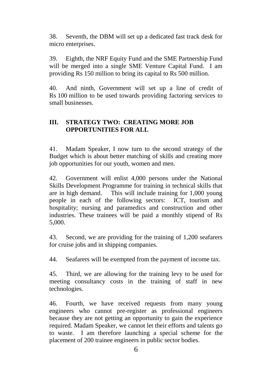38. Seventh, the DBM will set up a dedicated fast track desk for micro enterprises.

39. Eighth, the NRF Equity Fund and the SME Partnership Fund will be merged into a single SME Venture Capital Fund. I am providing Rs 150 million to bring its capital to Rs 500 million.

40. And ninth, Government will set up a line of credit of Rs 100 million to be used towards providing factoring services to small businesses.

#### **III. STRATEGY TWO: CREATING MORE JOB OPPORTUNITIES FOR ALL**

41. Madam Speaker, I now turn to the second strategy of the Budget which is about better matching of skills and creating more job opportunities for our youth, women and men.

42. Government will enlist 4,000 persons under the National Skills Development Programme for training in technical skills that are in high demand. This will include training for 1,000 young people in each of the following sectors: ICT, tourism and hospitality; nursing and paramedics and construction and other industries. These trainees will be paid a monthly stipend of Rs 5,000.

43. Second, we are providing for the training of 1,200 seafarers for cruise jobs and in shipping companies.

44. Seafarers will be exempted from the payment of income tax.

45. Third, we are allowing for the training levy to be used for meeting consultancy costs in the training of staff in new technologies.

46. Fourth, we have received requests from many young engineers who cannot pre-register as professional engineers because they are not getting an opportunity to gain the experience required. Madam Speaker, we cannot let their efforts and talents go to waste. I am therefore launching a special scheme for the placement of 200 trainee engineers in public sector bodies.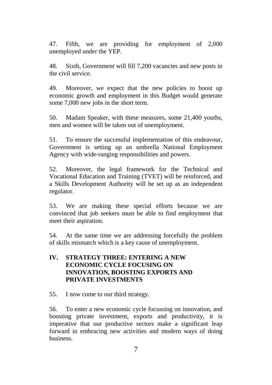47. Fifth, we are providing for employment of 2,000 unemployed under the YEP.

48. Sixth, Government will fill 7,200 vacancies and new posts in the civil service.

49. Moreover, we expect that the new policies to boost up economic growth and employment in this Budget would generate some 7,000 new jobs in the short term.

50. Madam Speaker, with these measures, some 21,400 youths, men and women will be taken out of unemployment.

51. To ensure the successful implementation of this endeavour, Government is setting up an umbrella National Employment Agency with wide-ranging responsibilities and powers.

52. Moreover, the legal framework for the Technical and Vocational Education and Training (TVET) will be reinforced, and a Skills Development Authority will be set up as an independent regulator.

53. We are making these special efforts because we are convinced that job seekers must be able to find employment that meet their aspiration.

54. At the same time we are addressing forcefully the problem of skills mismatch which is a key cause of unemployment.

## **IV. STRATEGY THREE: ENTERING A NEW ECONOMIC CYCLE FOCUSING ON INNOVATION, BOOSTING EXPORTS AND PRIVATE INVESTMENTS**

55. I now come to our third strategy.

56. To enter a new economic cycle focussing on innovation, and boosting private investment, exports and productivity, it is imperative that our productive sectors make a significant leap forward in embracing new activities and modern ways of doing business.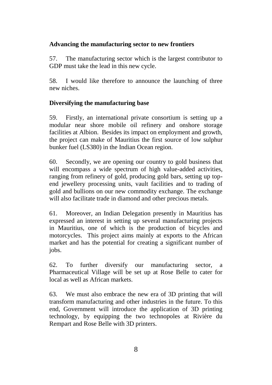## **Advancing the manufacturing sector to new frontiers**

57. The manufacturing sector which is the largest contributor to GDP must take the lead in this new cycle.

58. I would like therefore to announce the launching of three new niches.

## **Diversifying the manufacturing base**

59. Firstly, an international private consortium is setting up a modular near shore mobile oil refinery and onshore storage facilities at Albion. Besides its impact on employment and growth, the project can make of Mauritius the first source of low sulphur bunker fuel (LS380) in the Indian Ocean region.

60. Secondly, we are opening our country to gold business that will encompass a wide spectrum of high value-added activities, ranging from refinery of gold, producing gold bars, setting up topend jewellery processing units, vault facilities and to trading of gold and bullions on our new commodity exchange. The exchange will also facilitate trade in diamond and other precious metals.

61. Moreover, an Indian Delegation presently in Mauritius has expressed an interest in setting up several manufacturing projects in Mauritius, one of which is the production of bicycles and motorcycles. This project aims mainly at exports to the African market and has the potential for creating a significant number of jobs.

62. To further diversify our manufacturing sector, a Pharmaceutical Village will be set up at Rose Belle to cater for local as well as African markets.

63. We must also embrace the new era of 3D printing that will transform manufacturing and other industries in the future. To this end, Government will introduce the application of 3D printing technology, by equipping the two technopoles at Rivière du Rempart and Rose Belle with 3D printers.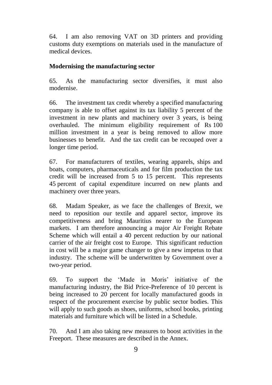64. I am also removing VAT on 3D printers and providing customs duty exemptions on materials used in the manufacture of medical devices.

#### **Modernising the manufacturing sector**

65. As the manufacturing sector diversifies, it must also modernise.

66. The investment tax credit whereby a specified manufacturing company is able to offset against its tax liability 5 percent of the investment in new plants and machinery over 3 years, is being overhauled. The minimum eligibility requirement of Rs 100 million investment in a year is being removed to allow more businesses to benefit. And the tax credit can be recouped over a longer time period.

67. For manufacturers of textiles, wearing apparels, ships and boats, computers, pharmaceuticals and for film production the tax credit will be increased from 5 to 15 percent. This represents 45 percent of capital expenditure incurred on new plants and machinery over three years.

68. Madam Speaker, as we face the challenges of Brexit, we need to reposition our textile and apparel sector, improve its competitiveness and bring Mauritius nearer to the European markets. I am therefore announcing a major Air Freight Rebate Scheme which will entail a 40 percent reduction by our national carrier of the air freight cost to Europe. This significant reduction in cost will be a major game changer to give a new impetus to that industry. The scheme will be underwritten by Government over a two-year period.

69. To support the 'Made in Moris' initiative of the manufacturing industry, the Bid Price-Preference of 10 percent is being increased to 20 percent for locally manufactured goods in respect of the procurement exercise by public sector bodies. This will apply to such goods as shoes, uniforms, school books, printing materials and furniture which will be listed in a Schedule.

70. And I am also taking new measures to boost activities in the Freeport. These measures are described in the Annex.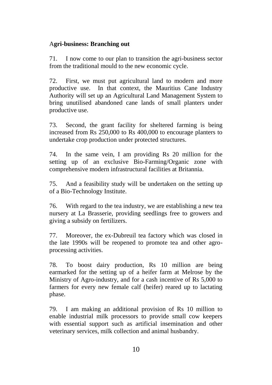## A**gri-business: Branching out**

71. I now come to our plan to transition the agri-business sector from the traditional mould to the new economic cycle.

72. First, we must put agricultural land to modern and more productive use. In that context, the Mauritius Cane Industry Authority will set up an Agricultural Land Management System to bring unutilised abandoned cane lands of small planters under productive use.

73. Second, the grant facility for sheltered farming is being increased from Rs 250,000 to Rs 400,000 to encourage planters to undertake crop production under protected structures.

74. In the same vein, I am providing Rs 20 million for the setting up of an exclusive Bio-Farming/Organic zone with comprehensive modern infrastructural facilities at Britannia.

75. And a feasibility study will be undertaken on the setting up of a Bio-Technology Institute.

76. With regard to the tea industry, we are establishing a new tea nursery at La Brasserie, providing seedlings free to growers and giving a subsidy on fertilizers.

77. Moreover, the ex-Dubreuil tea factory which was closed in the late 1990s will be reopened to promote tea and other agroprocessing activities.

78. To boost dairy production, Rs 10 million are being earmarked for the setting up of a heifer farm at Melrose by the Ministry of Agro-industry, and for a cash incentive of Rs 5,000 to farmers for every new female calf (heifer) reared up to lactating phase.

79. I am making an additional provision of Rs 10 million to enable industrial milk processors to provide small cow keepers with essential support such as artificial insemination and other veterinary services, milk collection and animal husbandry.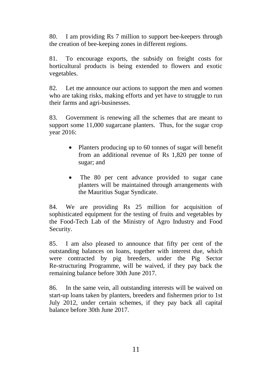80. I am providing Rs 7 million to support bee-keepers through the creation of bee-keeping zones in different regions.

81. To encourage exports, the subsidy on freight costs for horticultural products is being extended to flowers and exotic vegetables.

82. Let me announce our actions to support the men and women who are taking risks, making efforts and yet have to struggle to run their farms and agri-businesses.

83. Government is renewing all the schemes that are meant to support some 11,000 sugarcane planters. Thus, for the sugar crop year 2016:

- Planters producing up to 60 tonnes of sugar will benefit from an additional revenue of Rs 1,820 per tonne of sugar; and
- The 80 per cent advance provided to sugar cane planters will be maintained through arrangements with the Mauritius Sugar Syndicate.

84. We are providing Rs 25 million for acquisition of sophisticated equipment for the testing of fruits and vegetables by the Food-Tech Lab of the Ministry of Agro Industry and Food Security.

85. I am also pleased to announce that fifty per cent of the outstanding balances on loans, together with interest due, which were contracted by pig breeders, under the Pig Sector Re-structuring Programme, will be waived, if they pay back the remaining balance before 30th June 2017.

86. In the same vein, all outstanding interests will be waived on start-up loans taken by planters, breeders and fishermen prior to 1st July 2012, under certain schemes, if they pay back all capital balance before 30th June 2017.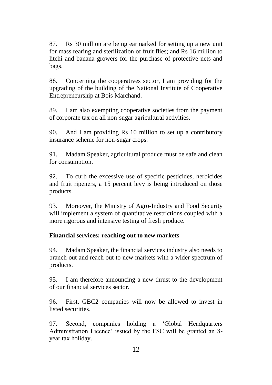87. Rs 30 million are being earmarked for setting up a new unit for mass rearing and sterilization of fruit flies; and Rs 16 million to litchi and banana growers for the purchase of protective nets and bags.

88. Concerning the cooperatives sector, I am providing for the upgrading of the building of the National Institute of Cooperative Entrepreneurship at Bois Marchand.

89. I am also exempting cooperative societies from the payment of corporate tax on all non-sugar agricultural activities.

90. And I am providing Rs 10 million to set up a contributory insurance scheme for non-sugar crops.

91. Madam Speaker, agricultural produce must be safe and clean for consumption.

92. To curb the excessive use of specific pesticides, herbicides and fruit ripeners, a 15 percent levy is being introduced on those products.

93. Moreover, the Ministry of Agro-Industry and Food Security will implement a system of quantitative restrictions coupled with a more rigorous and intensive testing of fresh produce.

## **Financial services: reaching out to new markets**

94. Madam Speaker, the financial services industry also needs to branch out and reach out to new markets with a wider spectrum of products.

95. I am therefore announcing a new thrust to the development of our financial services sector.

96. First, GBC2 companies will now be allowed to invest in listed securities.

97. Second, companies holding a 'Global Headquarters Administration Licence' issued by the FSC will be granted an 8 year tax holiday.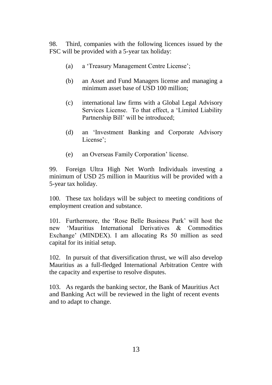98. Third, companies with the following licences issued by the FSC will be provided with a 5-year tax holiday:

- (a) a 'Treasury Management Centre License';
- (b) an Asset and Fund Managers license and managing a minimum asset base of USD 100 million;
- (c) international law firms with a Global Legal Advisory Services License. To that effect, a 'Limited Liability Partnership Bill' will be introduced;
- (d) an 'Investment Banking and Corporate Advisory License';
- (e) an Overseas Family Corporation' license.

99. Foreign Ultra High Net Worth Individuals investing a minimum of USD 25 million in Mauritius will be provided with a 5-year tax holiday.

100. These tax holidays will be subject to meeting conditions of employment creation and substance.

101. Furthermore, the 'Rose Belle Business Park' will host the new 'Mauritius International Derivatives & Commodities Exchange' (MINDEX). I am allocating Rs 50 million as seed capital for its initial setup.

102. In pursuit of that diversification thrust, we will also develop Mauritius as a full-fledged International Arbitration Centre with the capacity and expertise to resolve disputes.

103. As regards the banking sector, the Bank of Mauritius Act and Banking Act will be reviewed in the light of recent events and to adapt to change.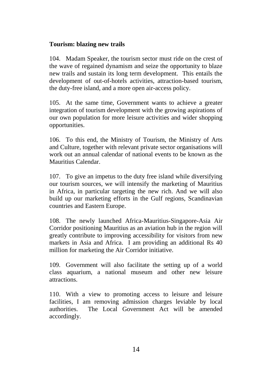#### **Tourism: blazing new trails**

104. Madam Speaker, the tourism sector must ride on the crest of the wave of regained dynamism and seize the opportunity to blaze new trails and sustain its long term development. This entails the development of out-of-hotels activities, attraction-based tourism, the duty-free island, and a more open air-access policy.

105. At the same time, Government wants to achieve a greater integration of tourism development with the growing aspirations of our own population for more leisure activities and wider shopping opportunities.

106. To this end, the Ministry of Tourism, the Ministry of Arts and Culture, together with relevant private sector organisations will work out an annual calendar of national events to be known as the Mauritius Calendar.

107. To give an impetus to the duty free island while diversifying our tourism sources, we will intensify the marketing of Mauritius in Africa, in particular targeting the new rich. And we will also build up our marketing efforts in the Gulf regions, Scandinavian countries and Eastern Europe.

108. The newly launched Africa-Mauritius-Singapore-Asia Air Corridor positioning Mauritius as an aviation hub in the region will greatly contribute to improving accessibility for visitors from new markets in Asia and Africa. I am providing an additional Rs 40 million for marketing the Air Corridor initiative.

109. Government will also facilitate the setting up of a world class aquarium, a national museum and other new leisure attractions.

110. With a view to promoting access to leisure and leisure facilities, I am removing admission charges leviable by local authorities. The Local Government Act will be amended accordingly.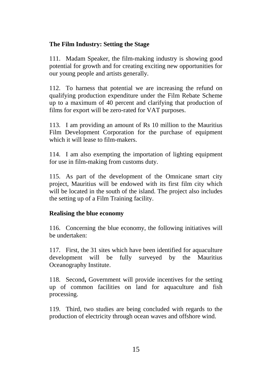## **The Film Industry: Setting the Stage**

111. Madam Speaker, the film-making industry is showing good potential for growth and for creating exciting new opportunities for our young people and artists generally.

112. To harness that potential we are increasing the refund on qualifying production expenditure under the Film Rebate Scheme up to a maximum of 40 percent and clarifying that production of films for export will be zero-rated for VAT purposes.

113. I am providing an amount of Rs 10 million to the Mauritius Film Development Corporation for the purchase of equipment which it will lease to film-makers.

114. I am also exempting the importation of lighting equipment for use in film-making from customs duty.

115. As part of the development of the Omnicane smart city project, Mauritius will be endowed with its first film city which will be located in the south of the island. The project also includes the setting up of a Film Training facility.

## **Realising the blue economy**

116. Concerning the blue economy, the following initiatives will be undertaken:

117. First, the 31 sites which have been identified for aquaculture development will be fully surveyed by the Mauritius Oceanography Institute.

118. Second**,** Government will provide incentives for the setting up of common facilities on land for aquaculture and fish processing.

119. Third, two studies are being concluded with regards to the production of electricity through ocean waves and offshore wind.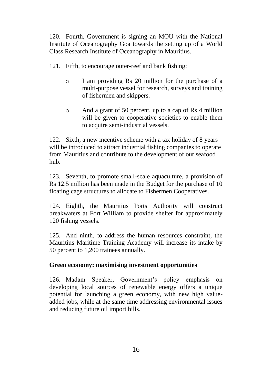120. Fourth, Government is signing an MOU with the National Institute of Oceanography Goa towards the setting up of a World Class Research Institute of Oceanography in Mauritius.

- 121. Fifth, to encourage outer-reef and bank fishing:
	- o I am providing Rs 20 million for the purchase of a multi-purpose vessel for research, surveys and training of fishermen and skippers.
	- o And a grant of 50 percent, up to a cap of Rs 4 million will be given to cooperative societies to enable them to acquire semi-industrial vessels.

122. Sixth, a new incentive scheme with a tax holiday of 8 years will be introduced to attract industrial fishing companies to operate from Mauritius and contribute to the development of our seafood hub.

123. Seventh, to promote small-scale aquaculture, a provision of Rs 12.5 million has been made in the Budget for the purchase of 10 floating cage structures to allocate to Fishermen Cooperatives.

124**.** Eighth, the Mauritius Ports Authority will construct breakwaters at Fort William to provide shelter for approximately 120 fishing vessels.

125. And ninth, to address the human resources constraint, the Mauritius Maritime Training Academy will increase its intake by 50 percent to 1,200 trainees annually.

## **Green economy: maximising investment opportunities**

126. Madam Speaker, Government's policy emphasis on developing local sources of renewable energy offers a unique potential for launching a green economy, with new high valueadded jobs, while at the same time addressing environmental issues and reducing future oil import bills.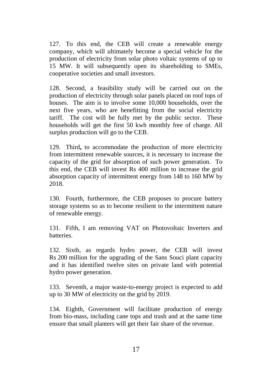127. To this end, the CEB will create a renewable energy company, which will ultimately become a special vehicle for the production of electricity from solar photo voltaic systems of up to 15 MW. It will subsequently open its shareholding to SMEs, cooperative societies and small investors.

128. Second, a feasibility study will be carried out on the production of electricity through solar panels placed on roof tops of houses. The aim is to involve some 10,000 households, over the next five years, who are benefitting from the social electricity tariff. The cost will be fully met by the public sector. These households will get the first 50 kwh monthly free of charge. All surplus production will go to the CEB.

129. Third**,** to accommodate the production of more electricity from intermittent renewable sources, it is necessary to increase the capacity of the grid for absorption of such power generation. To this end, the CEB will invest Rs 400 million to increase the grid absorption capacity of intermittent energy from 148 to 160 MW by 2018.

130. Fourth, furthermore, the CEB proposes to procure battery storage systems so as to become resilient to the intermittent nature of renewable energy.

131. Fifth, I am removing VAT on Photovoltaic Inverters and batteries.

132. Sixth, as regards hydro power, the CEB will invest Rs 200 million for the upgrading of the Sans Souci plant capacity and it has identified twelve sites on private land with potential hydro power generation.

133. Seventh, a major waste-to-energy project is expected to add up to 30 MW of electricity on the grid by 2019.

134. Eighth, Government will facilitate production of energy from bio-mass, including cane tops and trash and at the same time ensure that small planters will get their fair share of the revenue.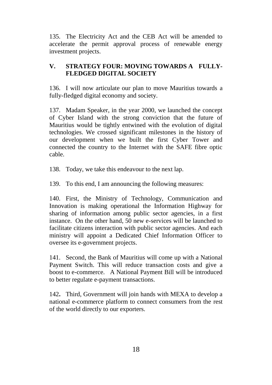135. The Electricity Act and the CEB Act will be amended to accelerate the permit approval process of renewable energy investment projects.

## **V. STRATEGY FOUR: MOVING TOWARDS A FULLY-FLEDGED DIGITAL SOCIETY**

136. I will now articulate our plan to move Mauritius towards a fully-fledged digital economy and society.

137. Madam Speaker, in the year 2000, we launched the concept of Cyber Island with the strong conviction that the future of Mauritius would be tightly entwined with the evolution of digital technologies. We crossed significant milestones in the history of our development when we built the first Cyber Tower and connected the country to the Internet with the SAFE fibre optic cable.

138. Today, we take this endeavour to the next lap.

139. To this end, I am announcing the following measures:

140. First, the Ministry of Technology, Communication and Innovation is making operational the Information Highway for sharing of information among public sector agencies, in a first instance. On the other hand, 50 new e-services will be launched to facilitate citizens interaction with public sector agencies. And each ministry will appoint a Dedicated Chief Information Officer to oversee its e-government projects.

141. Second, the Bank of Mauritius will come up with a National Payment Switch. This will reduce transaction costs and give a boost to e-commerce. A National Payment Bill will be introduced to better regulate e-payment transactions.

142**.** Third, Government will join hands with MEXA to develop a national e-commerce platform to connect consumers from the rest of the world directly to our exporters.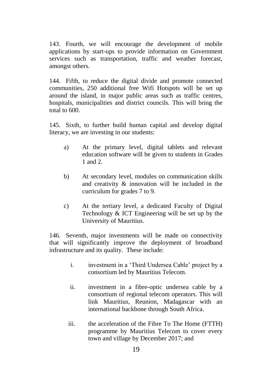143. Fourth, we will encourage the development of mobile applications by start-ups to provide information on Government services such as transportation, traffic and weather forecast, amongst others.

144. Fifth, to reduce the digital divide and promote connected communities, 250 additional free Wifi Hotspots will be set up around the island, in major public areas such as traffic centres, hospitals, municipalities and district councils. This will bring the total to 600.

145. Sixth, to further build human capital and develop digital literacy, we are investing in our students:

- a) At the primary level, digital tablets and relevant education software will be given to students in Grades 1 and 2.
- b) At secondary level, modules on communication skills and creativity & innovation will be included in the curriculum for grades 7 to 9.
- c) At the tertiary level, a dedicated Faculty of Digital Technology & ICT Engineering will be set up by the University of Mauritius.

146. Seventh, major investments will be made on connectivity that will significantly improve the deployment of broadband infrastructure and its quality. These include:

- i. investment in a 'Third Undersea Cable' project by a consortium led by Mauritius Telecom.
- ii. investment in a fibre-optic undersea cable by a consortium of regional telecom operators. This will link Mauritius, Reunion, Madagascar with an international backbone through South Africa.
- iii. the acceleration of the Fibre To The Home (FTTH) programme by Mauritius Telecom to cover every town and village by December 2017; and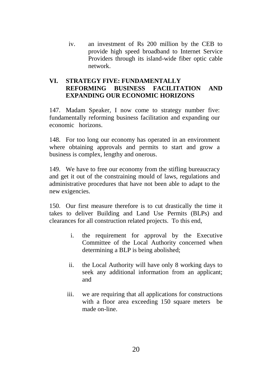iv. an investment of Rs 200 million by the CEB to provide high speed broadband to Internet Service Providers through its island-wide fiber optic cable network.

## **VI. STRATEGY FIVE: FUNDAMENTALLY REFORMING BUSINESS FACILITATION AND EXPANDING OUR ECONOMIC HORIZONS**

147. Madam Speaker, I now come to strategy number five: fundamentally reforming business facilitation and expanding our economic horizons.

148. For too long our economy has operated in an environment where obtaining approvals and permits to start and grow a business is complex, lengthy and onerous.

149. We have to free our economy from the stifling bureaucracy and get it out of the constraining mould of laws, regulations and administrative procedures that have not been able to adapt to the new exigencies.

150. Our first measure therefore is to cut drastically the time it takes to deliver Building and Land Use Permits (BLPs) and clearances for all construction related projects. To this end,

- i. the requirement for approval by the Executive Committee of the Local Authority concerned when determining a BLP is being abolished;
- ii. the Local Authority will have only 8 working days to seek any additional information from an applicant; and
- iii. we are requiring that all applications for constructions with a floor area exceeding 150 square meters be made on-line.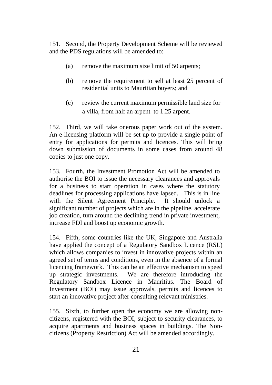151. Second, the Property Development Scheme will be reviewed and the PDS regulations will be amended to:

- (a) remove the maximum size limit of 50 arpents;
- (b) remove the requirement to sell at least 25 percent of residential units to Mauritian buyers; and
- (c) review the current maximum permissible land size for a villa, from half an arpent to 1.25 arpent.

152. Third, we will take onerous paper work out of the system. An e-licensing platform will be set up to provide a single point of entry for applications for permits and licences. This will bring down submission of documents in some cases from around 48 copies to just one copy.

153. Fourth, the Investment Promotion Act will be amended to authorise the BOI to issue the necessary clearances and approvals for a business to start operation in cases where the statutory deadlines for processing applications have lapsed. This is in line with the Silent Agreement Principle. It should unlock a significant number of projects which are in the pipeline, accelerate job creation, turn around the declining trend in private investment, increase FDI and boost up economic growth.

154. Fifth, some countries like the UK, Singapore and Australia have applied the concept of a Regulatory Sandbox Licence (RSL) which allows companies to invest in innovative projects within an agreed set of terms and conditions, even in the absence of a formal licencing framework. This can be an effective mechanism to speed up strategic investments. We are therefore introducing the Regulatory Sandbox Licence in Mauritius. The Board of Investment (BOI) may issue approvals, permits and licences to start an innovative project after consulting relevant ministries.

155. Sixth, to further open the economy we are allowing noncitizens, registered with the BOI, subject to security clearances, to acquire apartments and business spaces in buildings. The Noncitizens (Property Restriction) Act will be amended accordingly.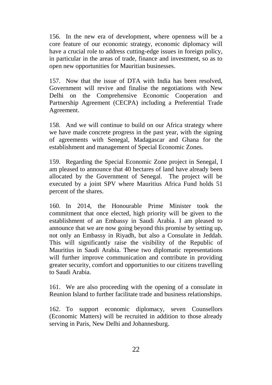156. In the new era of development, where openness will be a core feature of our economic strategy, economic diplomacy will have a crucial role to address cutting-edge issues in foreign policy, in particular in the areas of trade, finance and investment, so as to open new opportunities for Mauritian businesses.

157. Now that the issue of DTA with India has been resolved, Government will revive and finalise the negotiations with New Delhi on the Comprehensive Economic Cooperation and Partnership Agreement (CECPA) including a Preferential Trade Agreement.

158. And we will continue to build on our Africa strategy where we have made concrete progress in the past year, with the signing of agreements with Senegal, Madagascar and Ghana for the establishment and management of Special Economic Zones.

159. Regarding the Special Economic Zone project in Senegal, I am pleased to announce that 40 hectares of land have already been allocated by the Government of Senegal. The project will be executed by a joint SPV where Mauritius Africa Fund holds 51 percent of the shares.

160. In 2014, the Honourable Prime Minister took the commitment that once elected, high priority will be given to the establishment of an Embassy in Saudi Arabia. I am pleased to announce that we are now going beyond this promise by setting up, not only an Embassy in Riyadh, but also a Consulate in Jeddah. This will significantly raise the visibility of the Republic of Mauritius in Saudi Arabia. These two diplomatic representations will further improve communication and contribute in providing greater security, comfort and opportunities to our citizens travelling to Saudi Arabia.

161. We are also proceeding with the opening of a consulate in Reunion Island to further facilitate trade and business relationships.

162. To support economic diplomacy, seven Counsellors (Economic Matters) will be recruited in addition to those already serving in Paris, New Delhi and Johannesburg.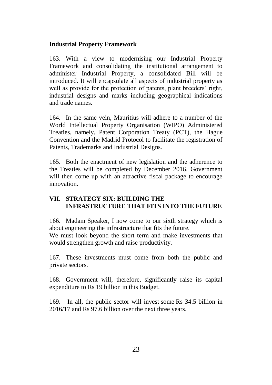## **Industrial Property Framework**

163. With a view to modernising our Industrial Property Framework and consolidating the institutional arrangement to administer Industrial Property, a consolidated Bill will be introduced. It will encapsulate all aspects of industrial property as well as provide for the protection of patents, plant breeders' right, industrial designs and marks including geographical indications and trade names.

164. In the same vein, Mauritius will adhere to a number of the World Intellectual Property Organisation (WIPO) Administered Treaties, namely, Patent Corporation Treaty (PCT), the Hague Convention and the Madrid Protocol to facilitate the registration of Patents, Trademarks and Industrial Designs.

165. Both the enactment of new legislation and the adherence to the Treaties will be completed by December 2016. Government will then come up with an attractive fiscal package to encourage innovation.

## **VII. STRATEGY SIX: BUILDING THE INFRASTRUCTURE THAT FITS INTO THE FUTURE**

166. Madam Speaker, I now come to our sixth strategy which is about engineering the infrastructure that fits the future.

We must look beyond the short term and make investments that would strengthen growth and raise productivity.

167. These investments must come from both the public and private sectors.

168. Government will, therefore, significantly raise its capital expenditure to Rs 19 billion in this Budget.

169. In all, the public sector will invest some Rs 34.5 billion in 2016/17 and Rs 97.6 billion over the next three years.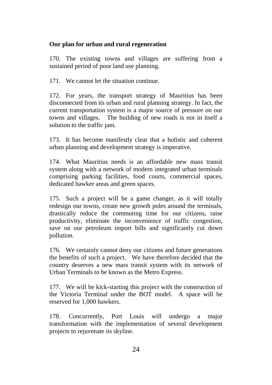## **Our plan for urban and rural regeneration**

170. The existing towns and villages are suffering from a sustained period of poor land use planning.

171. We cannot let the situation continue.

172. For years, the transport strategy of Mauritius has been disconnected from its urban and rural planning strategy. In fact, the current transportation system is a major source of pressure on our towns and villages. The building of new roads is not in itself a solution to the traffic jam.

173. It has become manifestly clear that a holistic and coherent urban planning and development strategy is imperative.

174. What Mauritius needs is an affordable new mass transit system along with a network of modern integrated urban terminals comprising parking facilities, food courts, commercial spaces, dedicated hawker areas and green spaces.

175. Such a project will be a game changer, as it will totally redesign our towns, create new growth poles around the terminals, drastically reduce the commuting time for our citizens, raise productivity, eliminate the inconvenience of traffic congestion, save on our petroleum import bills and significantly cut down pollution.

176. We certainly cannot deny our citizens and future generations the benefits of such a project. We have therefore decided that the country deserves a new mass transit system with its network of Urban Terminals to be known as the Metro Express.

177. We will be kick-starting this project with the construction of the Victoria Terminal under the BOT model. A space will be reserved for 1,000 hawkers.

178. Concurrently, Port Louis will undergo a major transformation with the implementation of several development projects to rejuvenate its skyline.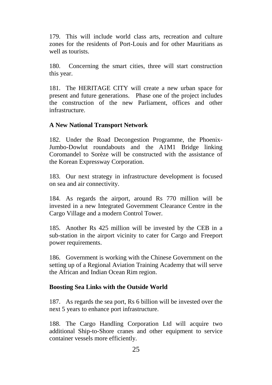179. This will include world class arts, recreation and culture zones for the residents of Port-Louis and for other Mauritians as well as tourists.

180. Concerning the smart cities, three will start construction this year.

181. The HERITAGE CITY will create a new urban space for present and future generations. Phase one of the project includes the construction of the new Parliament, offices and other infrastructure.

#### **A New National Transport Network**

182. Under the Road Decongestion Programme, the Phoenix-Jumbo-Dowlut roundabouts and the A1M1 Bridge linking Coromandel to Sorèze will be constructed with the assistance of the Korean Expressway Corporation.

183. Our next strategy in infrastructure development is focused on sea and air connectivity.

184. As regards the airport, around Rs 770 million will be invested in a new Integrated Government Clearance Centre in the Cargo Village and a modern Control Tower.

185. Another Rs 425 million will be invested by the CEB in a sub-station in the airport vicinity to cater for Cargo and Freeport power requirements.

186. Government is working with the Chinese Government on the setting up of a Regional Aviation Training Academy that will serve the African and Indian Ocean Rim region.

#### **Boosting Sea Links with the Outside World**

187. As regards the sea port, Rs 6 billion will be invested over the next 5 years to enhance port infrastructure.

188. The Cargo Handling Corporation Ltd will acquire two additional Ship-to-Shore cranes and other equipment to service container vessels more efficiently.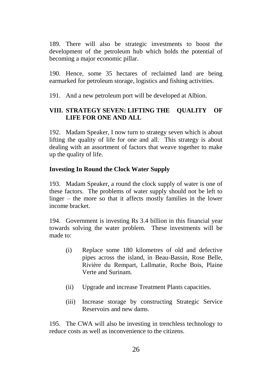189. There will also be strategic investments to boost the development of the petroleum hub which holds the potential of becoming a major economic pillar.

190. Hence, some 35 hectares of reclaimed land are being earmarked for petroleum storage, logistics and fishing activities.

191. And a new petroleum port will be developed at Albion.

## **VIII. STRATEGY SEVEN: LIFTING THE QUALITY OF LIFE FOR ONE AND ALL**

192. Madam Speaker, I now turn to strategy seven which is about lifting the quality of life for one and all. This strategy is about dealing with an assortment of factors that weave together to make up the quality of life.

## **Investing In Round the Clock Water Supply**

193. Madam Speaker, a round the clock supply of water is one of these factors. The problems of water supply should not be left to linger – the more so that it affects mostly families in the lower income bracket.

194. Government is investing Rs 3.4 billion in this financial year towards solving the water problem. These investments will be made to:

- (i) Replace some 180 kilometres of old and defective pipes across the island, in Beau-Bassin, Rose Belle, Rivière du Rempart, Lallmatie, Roche Bois, Plaine Verte and Surinam.
- (ii) Upgrade and increase Treatment Plants capacities.
- (iii) Increase storage by constructing Strategic Service Reservoirs and new dams.

195. The CWA will also be investing in trenchless technology to reduce costs as well as inconvenience to the citizens.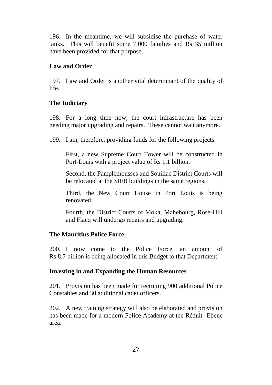196. In the meantime, we will subsidise the purchase of water tanks. This will benefit some 7,000 families and Rs 35 million have been provided for that purpose.

## **Law and Order**

197. Law and Order is another vital determinant of the quality of life.

## **The Judiciary**

198. For a long time now, the court infrastructure has been needing major upgrading and repairs. These cannot wait anymore.

199. I am, therefore, providing funds for the following projects:

First, a new Supreme Court Tower will be constructed in Port-Louis with a project value of Rs 1.1 billion.

Second, the Pamplemousses and Souillac District Courts will be relocated at the SIFB buildings in the same regions.

Third, the New Court House in Port Louis is being renovated.

Fourth, the District Courts of Moka, Mahebourg, Rose-Hill and Flacq will undergo repairs and upgrading.

#### **The Mauritius Police Force**

200. I now come to the Police Force, an amount of Rs 8.7 billion is being allocated in this Budget to that Department.

## **Investing in and Expanding the Human Resources**

201. Provision has been made for recruiting 900 additional Police Constables and 30 additional cadet officers.

202. A new training strategy will also be elaborated and provision has been made for a modern Police Academy at the Réduit- Ebene area.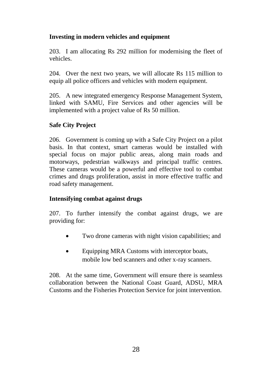## **Investing in modern vehicles and equipment**

203. I am allocating Rs 292 million for modernising the fleet of vehicles.

204. Over the next two years, we will allocate Rs 115 million to equip all police officers and vehicles with modern equipment.

205. A new integrated emergency Response Management System, linked with SAMU, Fire Services and other agencies will be implemented with a project value of Rs 50 million.

## **Safe City Project**

206. Government is coming up with a Safe City Project on a pilot basis. In that context, smart cameras would be installed with special focus on major public areas, along main roads and motorways, pedestrian walkways and principal traffic centres. These cameras would be a powerful and effective tool to combat crimes and drugs proliferation, assist in more effective traffic and road safety management.

## **Intensifying combat against drugs**

207. To further intensify the combat against drugs, we are providing for:

- Two drone cameras with night vision capabilities; and
- Equipping MRA Customs with interceptor boats, mobile low bed scanners and other x-ray scanners.

208. At the same time, Government will ensure there is seamless collaboration between the National Coast Guard, ADSU, MRA Customs and the Fisheries Protection Service for joint intervention.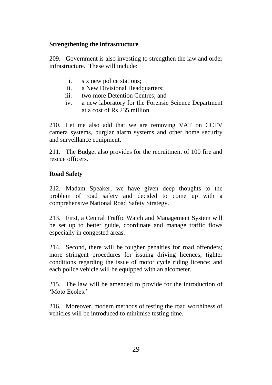## **Strengthening the infrastructure**

209. Government is also investing to strengthen the law and order infrastructure. These will include:

- i. six new police stations;
- ii. a New Divisional Headquarters;
- iii. two more Detention Centres; and
- iv. a new laboratory for the Forensic Science Department at a cost of Rs 235 million.

210. Let me also add that we are removing VAT on CCTV camera systems, burglar alarm systems and other home security and surveillance equipment.

211. The Budget also provides for the recruitment of 100 fire and rescue officers.

#### **Road Safety**

212. Madam Speaker, we have given deep thoughts to the problem of road safety and decided to come up with a comprehensive National Road Safety Strategy.

213. First, a Central Traffic Watch and Management System will be set up to better guide, coordinate and manage traffic flows especially in congested areas.

214. Second, there will be tougher penalties for road offenders; more stringent procedures for issuing driving licences; tighter conditions regarding the issue of motor cycle riding licence; and each police vehicle will be equipped with an alcometer.

215. The law will be amended to provide for the introduction of 'Moto Ecoles.'

216. Moreover, modern methods of testing the road worthiness of vehicles will be introduced to minimise testing time.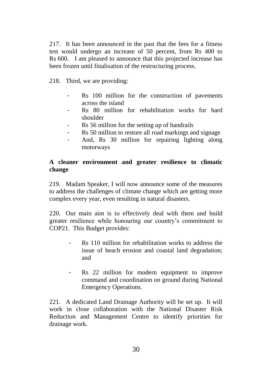217. It has been announced in the past that the fees for a fitness test would undergo an increase of 50 percent, from Rs 400 to Rs 600. I am pleased to announce that this projected increase has been frozen until finalisation of the restructuring process.

218. Third, we are providing:

- Rs 100 million for the construction of pavements across the island
- Rs 80 million for rehabilitation works for hard shoulder
- Rs 56 million for the setting up of handrails
- Rs 50 million to restore all road markings and signage
- And, Rs 30 million for repairing lighting along motorways

## **A cleaner environment and greater resilience to climatic change**

219. Madam Speaker, I will now announce some of the measures to address the challenges of climate change which are getting more complex every year, even resulting in natural disasters.

220. Our main aim is to effectively deal with them and build greater resilience while honouring our country's commitment to COP21. This Budget provides:

- Rs 110 million for rehabilitation works to address the issue of beach erosion and coastal land degradation; and
- Rs 22 million for modern equipment to improve command and coordination on ground during National Emergency Operations.

221. A dedicated Land Drainage Authority will be set up. It will work in close collaboration with the National Disaster Risk Reduction and Management Centre to identify priorities for drainage work.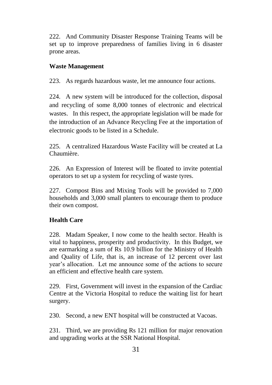222. And Community Disaster Response Training Teams will be set up to improve preparedness of families living in 6 disaster prone areas.

## **Waste Management**

223. As regards hazardous waste, let me announce four actions.

224. A new system will be introduced for the collection, disposal and recycling of some 8,000 tonnes of electronic and electrical wastes. In this respect, the appropriate legislation will be made for the introduction of an Advance Recycling Fee at the importation of electronic goods to be listed in a Schedule.

225. A centralized Hazardous Waste Facility will be created at La Chaumière.

226. An Expression of Interest will be floated to invite potential operators to set up a system for recycling of waste tyres.

227. Compost Bins and Mixing Tools will be provided to 7,000 households and 3,000 small planters to encourage them to produce their own compost.

## **Health Care**

228. Madam Speaker, I now come to the health sector. Health is vital to happiness, prosperity and productivity. In this Budget, we are earmarking a sum of Rs 10.9 billion for the Ministry of Health and Quality of Life, that is, an increase of 12 percent over last year's allocation. Let me announce some of the actions to secure an efficient and effective health care system.

229. First, Government will invest in the expansion of the Cardiac Centre at the Victoria Hospital to reduce the waiting list for heart surgery.

230. Second, a new ENT hospital will be constructed at Vacoas.

231. Third, we are providing Rs 121 million for major renovation and upgrading works at the SSR National Hospital.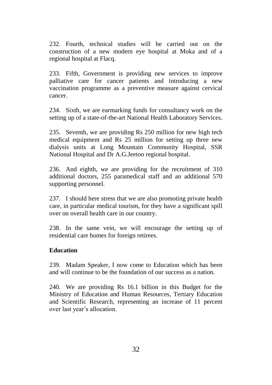232. Fourth, technical studies will be carried out on the construction of a new modern eye hospital at Moka and of a regional hospital at Flacq.

233. Fifth, Government is providing new services to improve palliative care for cancer patients and introducing a new vaccination programme as a preventive measure against cervical cancer.

234. Sixth, we are earmarking funds for consultancy work on the setting up of a state-of-the-art National Health Laboratory Services.

235. Seventh, we are providing Rs 250 million for new high tech medical equipment and Rs 25 million for setting up three new dialysis units at Long Mountain Community Hospital, SSR National Hospital and Dr A.G.Jeetoo regional hospital.

236. And eighth, we are providing for the recruitment of 310 additional doctors, 255 paramedical staff and an additional 570 supporting personnel.

237. I should here stress that we are also promoting private health care, in particular medical tourism, for they have a significant spill over on overall health care in our country.

238. In the same vein, we will encourage the setting up of residential care homes for foreign retirees.

#### **Education**

239. Madam Speaker, I now come to Education which has been and will continue to be the foundation of our success as a nation.

240. We are providing Rs 16.1 billion in this Budget for the Ministry of Education and Human Resources, Tertiary Education and Scientific Research, representing an increase of 11 percent over last year's allocation.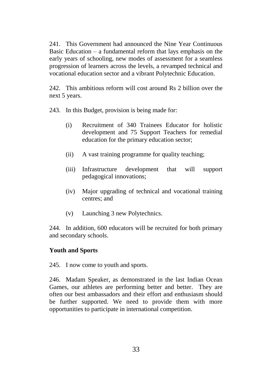241. This Government had announced the Nine Year Continuous Basic Education – a fundamental reform that lays emphasis on the early years of schooling, new modes of assessment for a seamless progression of learners across the levels, a revamped technical and vocational education sector and a vibrant Polytechnic Education.

242. This ambitious reform will cost around Rs 2 billion over the next 5 years.

243. In this Budget, provision is being made for:

- (i) Recruitment of 340 Trainees Educator for holistic development and 75 Support Teachers for remedial education for the primary education sector;
- (ii) A vast training programme for quality teaching;
- (iii) Infrastructure development that will support pedagogical innovations;
- (iv) Major upgrading of technical and vocational training centres; and
- (v) Launching 3 new Polytechnics.

244. In addition, 600 educators will be recruited for both primary and secondary schools.

## **Youth and Sports**

245. I now come to youth and sports.

246. Madam Speaker, as demonstrated in the last Indian Ocean Games, our athletes are performing better and better. They are often our best ambassadors and their effort and enthusiasm should be further supported. We need to provide them with more opportunities to participate in international competition.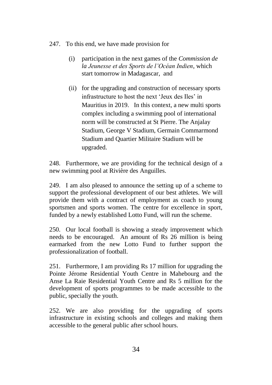## 247. To this end, we have made provision for

- (i) participation in the next games of the *Commission de la Jeunesse et des Sports de l'Océan Indien*, which start tomorrow in Madagascar, and
- (ii) for the upgrading and construction of necessary sports infrastructure to host the next 'Jeux des Iles' in Mauritius in 2019. In this context, a new multi sports complex including a swimming pool of international norm will be constructed at St Pierre. The Anjalay Stadium, George V Stadium, Germain Commarmond Stadium and Quartier Militaire Stadium will be upgraded.

248. Furthermore, we are providing for the technical design of a new swimming pool at Rivière des Anguilles.

249. I am also pleased to announce the setting up of a scheme to support the professional development of our best athletes. We will provide them with a contract of employment as coach to young sportsmen and sports women. The centre for excellence in sport, funded by a newly established Lotto Fund, will run the scheme.

250. Our local football is showing a steady improvement which needs to be encouraged. An amount of Rs 26 million is being earmarked from the new Lotto Fund to further support the professionalization of football.

251. Furthermore, I am providing Rs 17 million for upgrading the Pointe Jérome Residential Youth Centre in Mahebourg and the Anse La Raie Residential Youth Centre and Rs 5 million for the development of sports programmes to be made accessible to the public, specially the youth.

252. We are also providing for the upgrading of sports infrastructure in existing schools and colleges and making them accessible to the general public after school hours.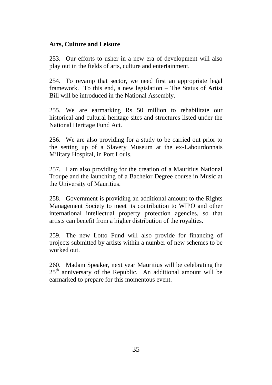#### **Arts, Culture and Leisure**

253. Our efforts to usher in a new era of development will also play out in the fields of arts, culture and entertainment.

254. To revamp that sector, we need first an appropriate legal framework. To this end, a new legislation – The Status of Artist Bill will be introduced in the National Assembly.

255. We are earmarking Rs 50 million to rehabilitate our historical and cultural heritage sites and structures listed under the National Heritage Fund Act.

256. We are also providing for a study to be carried out prior to the setting up of a Slavery Museum at the ex-Labourdonnais Military Hospital, in Port Louis.

257. I am also providing for the creation of a Mauritius National Troupe and the launching of a Bachelor Degree course in Music at the University of Mauritius.

258. Government is providing an additional amount to the Rights Management Society to meet its contribution to WIPO and other international intellectual property protection agencies, so that artists can benefit from a higher distribution of the royalties.

259. The new Lotto Fund will also provide for financing of projects submitted by artists within a number of new schemes to be worked out.

260. Madam Speaker, next year Mauritius will be celebrating the  $25<sup>th</sup>$  anniversary of the Republic. An additional amount will be earmarked to prepare for this momentous event.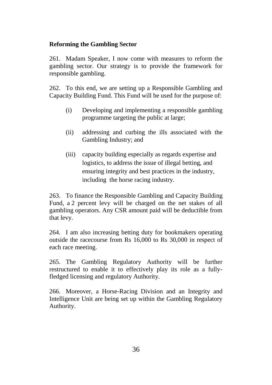#### **Reforming the Gambling Sector**

261. Madam Speaker, I now come with measures to reform the gambling sector. Our strategy is to provide the framework for responsible gambling.

262. To this end, we are setting up a Responsible Gambling and Capacity Building Fund. This Fund will be used for the purpose of:

- (i) Developing and implementing a responsible gambling programme targeting the public at large;
- (ii) addressing and curbing the ills associated with the Gambling Industry; and
- (iii) capacity building especially as regards expertise and logistics, to address the issue of illegal betting, and ensuring integrity and best practices in the industry, including the horse racing industry.

263. To finance the Responsible Gambling and Capacity Building Fund, a 2 percent levy will be charged on the net stakes of all gambling operators. Any CSR amount paid will be deductible from that levy.

264. I am also increasing betting duty for bookmakers operating outside the racecourse from Rs 16,000 to Rs 30,000 in respect of each race meeting.

265. The Gambling Regulatory Authority will be further restructured to enable it to effectively play its role as a fullyfledged licensing and regulatory Authority.

266. Moreover, a Horse-Racing Division and an Integrity and Intelligence Unit are being set up within the Gambling Regulatory Authority.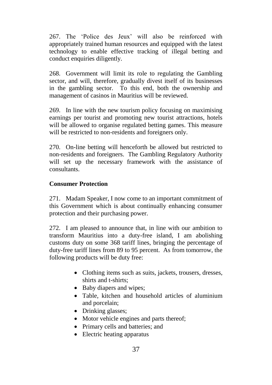267. The 'Police des Jeux' will also be reinforced with appropriately trained human resources and equipped with the latest technology to enable effective tracking of illegal betting and conduct enquiries diligently.

268. Government will limit its role to regulating the Gambling sector, and will, therefore, gradually divest itself of its businesses in the gambling sector. To this end, both the ownership and management of casinos in Mauritius will be reviewed.

269. In line with the new tourism policy focusing on maximising earnings per tourist and promoting new tourist attractions, hotels will be allowed to organise regulated betting games. This measure will be restricted to non-residents and foreigners only.

270. On-line betting will henceforth be allowed but restricted to non-residents and foreigners. The Gambling Regulatory Authority will set up the necessary framework with the assistance of consultants.

## **Consumer Protection**

271. Madam Speaker, I now come to an important commitment of this Government which is about continually enhancing consumer protection and their purchasing power.

272. I am pleased to announce that, in line with our ambition to transform Mauritius into a duty-free island, I am abolishing customs duty on some 368 tariff lines, bringing the percentage of duty-free tariff lines from 89 to 95 percent. As from tomorrow, the following products will be duty free:

- Clothing items such as suits, jackets, trousers, dresses, shirts and t-shirts;
- Baby diapers and wipes;
- Table, kitchen and household articles of aluminium and porcelain;
- Drinking glasses;
- Motor vehicle engines and parts thereof;
- Primary cells and batteries; and
- Electric heating apparatus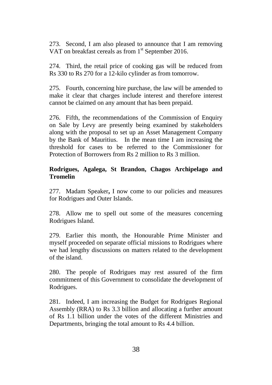273. Second, I am also pleased to announce that I am removing VAT on breakfast cereals as from 1<sup>st</sup> September 2016.

274. Third, the retail price of cooking gas will be reduced from Rs 330 to Rs 270 for a 12-kilo cylinder as from tomorrow.

275. Fourth, concerning hire purchase, the law will be amended to make it clear that charges include interest and therefore interest cannot be claimed on any amount that has been prepaid.

276. Fifth, the recommendations of the Commission of Enquiry on Sale by Levy are presently being examined by stakeholders along with the proposal to set up an Asset Management Company by the Bank of Mauritius. In the mean time I am increasing the threshold for cases to be referred to the Commissioner for Protection of Borrowers from Rs 2 million to Rs 3 million.

#### **Rodrigues, Agalega, St Brandon, Chagos Archipelago and Tromelin**

277. Madam Speaker**,** I now come to our policies and measures for Rodrigues and Outer Islands.

278. Allow me to spell out some of the measures concerning Rodrigues Island.

279. Earlier this month, the Honourable Prime Minister and myself proceeded on separate official missions to Rodrigues where we had lengthy discussions on matters related to the development of the island.

280. The people of Rodrigues may rest assured of the firm commitment of this Government to consolidate the development of Rodrigues.

281. Indeed, I am increasing the Budget for Rodrigues Regional Assembly (RRA) to Rs 3.3 billion and allocating a further amount of Rs 1.1 billion under the votes of the different Ministries and Departments, bringing the total amount to Rs 4.4 billion.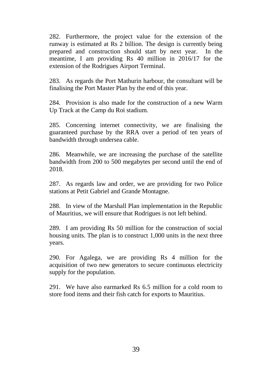282. Furthermore, the project value for the extension of the runway is estimated at Rs 2 billion. The design is currently being prepared and construction should start by next year. In the meantime, I am providing Rs 40 million in 2016/17 for the extension of the Rodrigues Airport Terminal.

283. As regards the Port Mathurin harbour, the consultant will be finalising the Port Master Plan by the end of this year.

284. Provision is also made for the construction of a new Warm Up Track at the Camp du Roi stadium.

285. Concerning internet connectivity, we are finalising the guaranteed purchase by the RRA over a period of ten years of bandwidth through undersea cable.

286. Meanwhile, we are increasing the purchase of the satellite bandwidth from 200 to 500 megabytes per second until the end of 2018.

287. As regards law and order, we are providing for two Police stations at Petit Gabriel and Grande Montagne.

288. In view of the Marshall Plan implementation in the Republic of Mauritius, we will ensure that Rodrigues is not left behind.

289. I am providing Rs 50 million for the construction of social housing units. The plan is to construct 1,000 units in the next three years.

290. For Agalega, we are providing Rs 4 million for the acquisition of two new generators to secure continuous electricity supply for the population.

291. We have also earmarked Rs 6.5 million for a cold room to store food items and their fish catch for exports to Mauritius.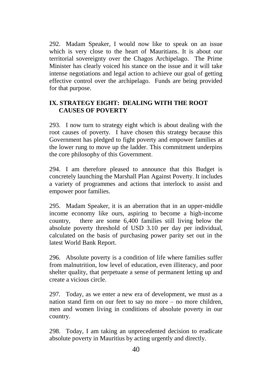292. Madam Speaker, I would now like to speak on an issue which is very close to the heart of Mauritians. It is about our territorial sovereignty over the Chagos Archipelago. The Prime Minister has clearly voiced his stance on the issue and it will take intense negotiations and legal action to achieve our goal of getting effective control over the archipelago. Funds are being provided for that purpose.

## **IX. STRATEGY EIGHT: DEALING WITH THE ROOT CAUSES OF POVERTY**

293. I now turn to strategy eight which is about dealing with the root causes of poverty. I have chosen this strategy because this Government has pledged to fight poverty and empower families at the lower rung to move up the ladder. This commitment underpins the core philosophy of this Government.

294. I am therefore pleased to announce that this Budget is concretely launching the Marshall Plan Against Poverty. It includes a variety of programmes and actions that interlock to assist and empower poor families.

295. Madam Speaker, it is an aberration that in an upper-middle income economy like ours, aspiring to become a high-income country, there are some 6,400 families still living below the absolute poverty threshold of USD 3.10 per day per individual, calculated on the basis of purchasing power parity set out in the latest World Bank Report.

296. Absolute poverty is a condition of life where families suffer from malnutrition, low level of education, even illiteracy, and poor shelter quality, that perpetuate a sense of permanent letting up and create a vicious circle.

297. Today, as we enter a new era of development, we must as a nation stand firm on our feet to say no more – no more children, men and women living in conditions of absolute poverty in our country.

298. Today, I am taking an unprecedented decision to eradicate absolute poverty in Mauritius by acting urgently and directly.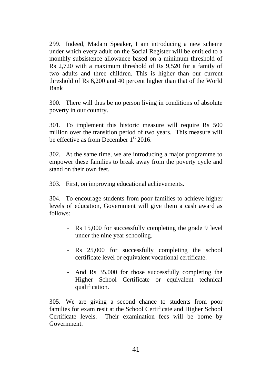299. Indeed, Madam Speaker, I am introducing a new scheme under which every adult on the Social Register will be entitled to a monthly subsistence allowance based on a minimum threshold of Rs 2,720 with a maximum threshold of Rs 9,520 for a family of two adults and three children. This is higher than our current threshold of Rs 6,200 and 40 percent higher than that of the World Bank

300. There will thus be no person living in conditions of absolute poverty in our country.

301. To implement this historic measure will require Rs 500 million over the transition period of two years. This measure will be effective as from December  $1<sup>st</sup>$  2016.

302. At the same time, we are introducing a major programme to empower these families to break away from the poverty cycle and stand on their own feet.

303. First, on improving educational achievements.

304. To encourage students from poor families to achieve higher levels of education, Government will give them a cash award as follows:

- Rs 15,000 for successfully completing the grade 9 level under the nine year schooling.
- Rs 25,000 for successfully completing the school certificate level or equivalent vocational certificate.
- And Rs 35,000 for those successfully completing the Higher School Certificate or equivalent technical qualification.

305. We are giving a second chance to students from poor families for exam resit at the School Certificate and Higher School Certificate levels. Their examination fees will be borne by Government.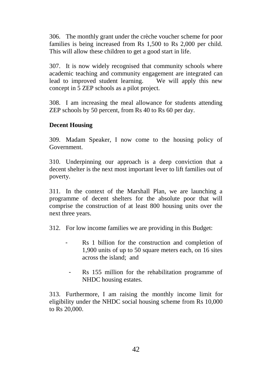306. The monthly grant under the crèche voucher scheme for poor families is being increased from Rs 1,500 to Rs 2,000 per child. This will allow these children to get a good start in life.

307. It is now widely recognised that community schools where academic teaching and community engagement are integrated can lead to improved student learning. We will apply this new concept in 5 ZEP schools as a pilot project.

308. I am increasing the meal allowance for students attending ZEP schools by 50 percent, from Rs 40 to Rs 60 per day.

## **Decent Housing**

309. Madam Speaker, I now come to the housing policy of Government.

310. Underpinning our approach is a deep conviction that a decent shelter is the next most important lever to lift families out of poverty.

311. In the context of the Marshall Plan, we are launching a programme of decent shelters for the absolute poor that will comprise the construction of at least 800 housing units over the next three years.

312. For low income families we are providing in this Budget:

- Rs 1 billion for the construction and completion of 1,900 units of up to 50 square meters each, on 16 sites across the island; and
	- Rs 155 million for the rehabilitation programme of NHDC housing estates.

313. Furthermore, I am raising the monthly income limit for eligibility under the NHDC social housing scheme from Rs 10,000 to Rs 20,000.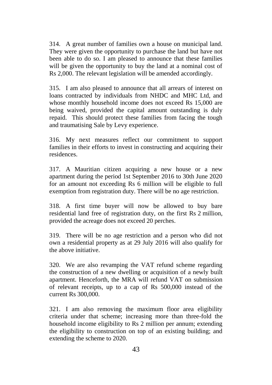314. A great number of families own a house on municipal land. They were given the opportunity to purchase the land but have not been able to do so. I am pleased to announce that these families will be given the opportunity to buy the land at a nominal cost of Rs 2,000. The relevant legislation will be amended accordingly.

315. I am also pleased to announce that all arrears of interest on loans contracted by individuals from NHDC and MHC Ltd, and whose monthly household income does not exceed Rs 15,000 are being waived, provided the capital amount outstanding is duly repaid. This should protect these families from facing the tough and traumatising Sale by Levy experience.

316. My next measures reflect our commitment to support families in their efforts to invest in constructing and acquiring their residences.

317. A Mauritian citizen acquiring a new house or a new apartment during the period 1st September 2016 to 30th June 2020 for an amount not exceeding Rs 6 million will be eligible to full exemption from registration duty. There will be no age restriction.

318. A first time buyer will now be allowed to buy bare residential land free of registration duty, on the first Rs 2 million, provided the acreage does not exceed 20 perches.

319. There will be no age restriction and a person who did not own a residential property as at 29 July 2016 will also qualify for the above initiative.

320. We are also revamping the VAT refund scheme regarding the construction of a new dwelling or acquisition of a newly built apartment. Henceforth, the MRA will refund VAT on submission of relevant receipts, up to a cap of Rs 500,000 instead of the current Rs 300,000.

321. I am also removing the maximum floor area eligibility criteria under that scheme; increasing more than three-fold the household income eligibility to Rs 2 million per annum; extending the eligibility to construction on top of an existing building; and extending the scheme to 2020.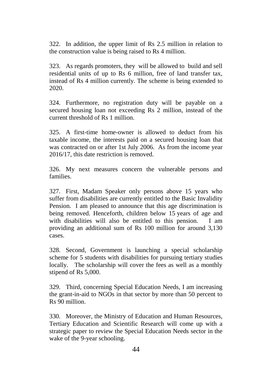322. In addition, the upper limit of Rs 2.5 million in relation to the construction value is being raised to Rs 4 million.

323. As regards promoters, they will be allowed to build and sell residential units of up to Rs 6 million, free of land transfer tax, instead of Rs 4 million currently. The scheme is being extended to 2020.

324. Furthermore, no registration duty will be payable on a secured housing loan not exceeding Rs 2 million, instead of the current threshold of Rs 1 million.

325. A first-time home-owner is allowed to deduct from his taxable income, the interests paid on a secured housing loan that was contracted on or after 1st July 2006. As from the income year 2016/17, this date restriction is removed.

326. My next measures concern the vulnerable persons and families.

327. First, Madam Speaker only persons above 15 years who suffer from disabilities are currently entitled to the Basic Invalidity Pension. I am pleased to announce that this age discrimination is being removed. Henceforth, children below 15 years of age and with disabilities will also be entitled to this pension. I am providing an additional sum of Rs 100 million for around 3,130 cases.

328. Second, Government is launching a special scholarship scheme for 5 students with disabilities for pursuing tertiary studies locally. The scholarship will cover the fees as well as a monthly stipend of Rs 5,000.

329. Third, concerning Special Education Needs, I am increasing the grant-in-aid to NGOs in that sector by more than 50 percent to Rs 90 million.

330. Moreover, the Ministry of Education and Human Resources, Tertiary Education and Scientific Research will come up with a strategic paper to review the Special Education Needs sector in the wake of the 9-year schooling.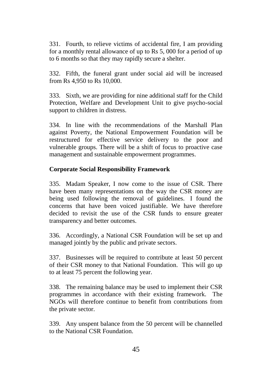331. Fourth, to relieve victims of accidental fire, I am providing for a monthly rental allowance of up to Rs 5, 000 for a period of up to 6 months so that they may rapidly secure a shelter.

332. Fifth, the funeral grant under social aid will be increased from Rs 4,950 to Rs 10,000.

333. Sixth, we are providing for nine additional staff for the Child Protection, Welfare and Development Unit to give psycho-social support to children in distress.

334. In line with the recommendations of the Marshall Plan against Poverty, the National Empowerment Foundation will be restructured for effective service delivery to the poor and vulnerable groups. There will be a shift of focus to proactive case management and sustainable empowerment programmes.

## **Corporate Social Responsibility Framework**

335. Madam Speaker, I now come to the issue of CSR. There have been many representations on the way the CSR money are being used following the removal of guidelines. I found the concerns that have been voiced justifiable. We have therefore decided to revisit the use of the CSR funds to ensure greater transparency and better outcomes.

336. Accordingly, a National CSR Foundation will be set up and managed jointly by the public and private sectors.

337. Businesses will be required to contribute at least 50 percent of their CSR money to that National Foundation. This will go up to at least 75 percent the following year.

338. The remaining balance may be used to implement their CSR programmes in accordance with their existing framework. The NGOs will therefore continue to benefit from contributions from the private sector.

339. Any unspent balance from the 50 percent will be channelled to the National CSR Foundation.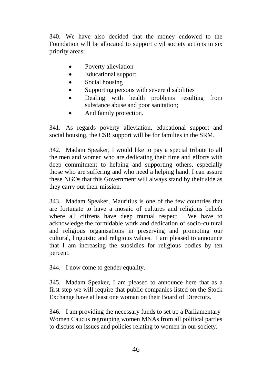340. We have also decided that the money endowed to the Foundation will be allocated to support civil society actions in six priority areas:

- Poverty alleviation
- Educational support
- Social housing
- Supporting persons with severe disabilities
- Dealing with health problems resulting from substance abuse and poor sanitation;
- And family protection.

341. As regards poverty alleviation, educational support and social housing, the CSR support will be for families in the SRM.

342. Madam Speaker, I would like to pay a special tribute to all the men and women who are dedicating their time and efforts with deep commitment to helping and supporting others, especially those who are suffering and who need a helping hand. I can assure these NGOs that this Government will always stand by their side as they carry out their mission.

343. Madam Speaker, Mauritius is one of the few countries that are fortunate to have a mosaic of cultures and religious beliefs where all citizens have deep mutual respect. We have to acknowledge the formidable work and dedication of socio-cultural and religious organisations in preserving and promoting our cultural, linguistic and religious values. I am pleased to announce that I am increasing the subsidies for religious bodies by ten percent.

344. I now come to gender equality.

345. Madam Speaker, I am pleased to announce here that as a first step we will require that public companies listed on the Stock Exchange have at least one woman on their Board of Directors.

346. I am providing the necessary funds to set up a Parliamentary Women Caucus regrouping women MNAs from all political parties to discuss on issues and policies relating to women in our society.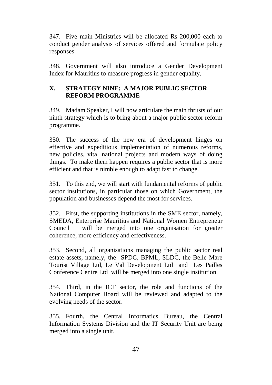347. Five main Ministries will be allocated Rs 200,000 each to conduct gender analysis of services offered and formulate policy responses.

348. Government will also introduce a Gender Development Index for Mauritius to measure progress in gender equality.

## **X. STRATEGY NINE: A MAJOR PUBLIC SECTOR REFORM PROGRAMME**

349. Madam Speaker, I will now articulate the main thrusts of our ninth strategy which is to bring about a major public sector reform programme.

350. The success of the new era of development hinges on effective and expeditious implementation of numerous reforms, new policies, vital national projects and modern ways of doing things. To make them happen requires a public sector that is more efficient and that is nimble enough to adapt fast to change.

351. To this end, we will start with fundamental reforms of public sector institutions, in particular those on which Government, the population and businesses depend the most for services.

352. First, the supporting institutions in the SME sector, namely, SMEDA, Enterprise Mauritius and National Women Entrepreneur Council will be merged into one organisation for greater coherence, more efficiency and effectiveness.

353. Second, all organisations managing the public sector real estate assets, namely, the SPDC, BPML, SLDC, the Belle Mare Tourist Village Ltd, Le Val Development Ltd and Les Pailles Conference Centre Ltd will be merged into one single institution.

354. Third, in the ICT sector, the role and functions of the National Computer Board will be reviewed and adapted to the evolving needs of the sector.

355. Fourth, the Central Informatics Bureau, the Central Information Systems Division and the IT Security Unit are being merged into a single unit.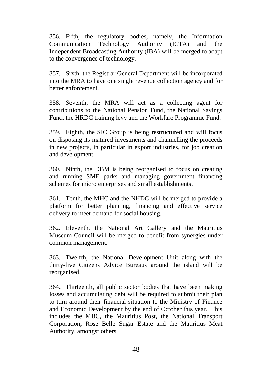356. Fifth, the regulatory bodies, namely, the Information Communication Technology Authority (ICTA) and the Independent Broadcasting Authority (IBA) will be merged to adapt to the convergence of technology.

357. Sixth, the Registrar General Department will be incorporated into the MRA to have one single revenue collection agency and for better enforcement.

358. Seventh, the MRA will act as a collecting agent for contributions to the National Pension Fund, the National Savings Fund, the HRDC training levy and the Workfare Programme Fund.

359. Eighth, the SIC Group is being restructured and will focus on disposing its matured investments and channelling the proceeds in new projects, in particular in export industries, for job creation and development.

360. Ninth, the DBM is being reorganised to focus on creating and running SME parks and managing government financing schemes for micro enterprises and small establishments.

361. Tenth, the MHC and the NHDC will be merged to provide a platform for better planning, financing and effective service delivery to meet demand for social housing.

362. Eleventh, the National Art Gallery and the Mauritius Museum Council will be merged to benefit from synergies under common management.

363. Twelfth, the National Development Unit along with the thirty-five Citizens Advice Bureaus around the island will be reorganised.

364**.** Thirteenth, all public sector bodies that have been making losses and accumulating debt will be required to submit their plan to turn around their financial situation to the Ministry of Finance and Economic Development by the end of October this year. This includes the MBC, the Mauritius Post, the National Transport Corporation, Rose Belle Sugar Estate and the Mauritius Meat Authority, amongst others.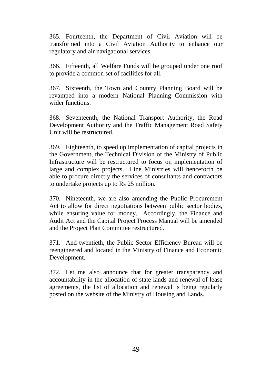365. Fourteenth, the Department of Civil Aviation will be transformed into a Civil Aviation Authority to enhance our regulatory and air navigational services.

366. Fifteenth, all Welfare Funds will be grouped under one roof to provide a common set of facilities for all.

367. Sixteenth, the Town and Country Planning Board will be revamped into a modern National Planning Commission with wider functions.

368. Seventeenth, the National Transport Authority, the Road Development Authority and the Traffic Management Road Safety Unit will be restructured.

369. Eighteenth, to speed up implementation of capital projects in the Government, the Technical Division of the Ministry of Public Infrastructure will be restructured to focus on implementation of large and complex projects. Line Ministries will henceforth be able to procure directly the services of consultants and contractors to undertake projects up to Rs 25 million.

370. Nineteenth, we are also amending the Public Procurement Act to allow for direct negotiations between public sector bodies, while ensuring value for money. Accordingly, the Finance and Audit Act and the Capital Project Process Manual will be amended and the Project Plan Committee restructured.

371. And twentieth, the Public Sector Efficiency Bureau will be reengineered and located in the Ministry of Finance and Economic Development.

372. Let me also announce that for greater transparency and accountability in the allocation of state lands and renewal of lease agreements, the list of allocation and renewal is being regularly posted on the website of the Ministry of Housing and Lands.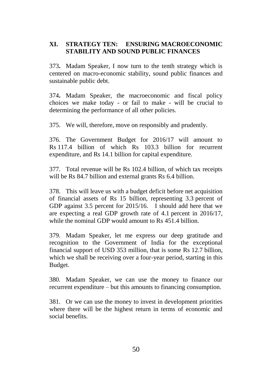## **XI. STRATEGY TEN: ENSURING MACROECONOMIC STABILITY AND SOUND PUBLIC FINANCES**

373**.** Madam Speaker, I now turn to the tenth strategy which is centered on macro-economic stability, sound public finances and sustainable public debt.

374**.** Madam Speaker, the macroeconomic and fiscal policy choices we make today - or fail to make - will be crucial to determining the performance of all other policies.

375. We will, therefore, move on responsibly and prudently.

376. The Government Budget for 2016/17 will amount to Rs 117.4 billion of which Rs 103.3 billion for recurrent expenditure, and Rs 14.1 billion for capital expenditure.

377. Total revenue will be Rs 102.4 billion, of which tax receipts will be Rs 84.7 billion and external grants Rs 6.4 billion.

378. This will leave us with a budget deficit before net acquisition of financial assets of Rs 15 billion, representing 3.3 percent of GDP against 3.5 percent for 2015/16. I should add here that we are expecting a real GDP growth rate of 4.1 percent in 2016/17, while the nominal GDP would amount to Rs 451.4 billion.

379. Madam Speaker, let me express our deep gratitude and recognition to the Government of India for the exceptional financial support of USD 353 million, that is some Rs 12.7 billion, which we shall be receiving over a four-year period, starting in this Budget.

380. Madam Speaker, we can use the money to finance our recurrent expenditure – but this amounts to financing consumption.

381. Or we can use the money to invest in development priorities where there will be the highest return in terms of economic and social benefits.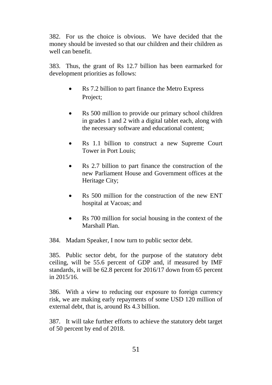382. For us the choice is obvious. We have decided that the money should be invested so that our children and their children as well can benefit.

383. Thus, the grant of Rs 12.7 billion has been earmarked for development priorities as follows:

- Rs 7.2 billion to part finance the Metro Express Project;
- Rs 500 million to provide our primary school children in grades 1 and 2 with a digital tablet each, along with the necessary software and educational content;
- Rs 1.1 billion to construct a new Supreme Court Tower in Port Louis;
- Rs 2.7 billion to part finance the construction of the new Parliament House and Government offices at the Heritage City;
- Rs 500 million for the construction of the new ENT hospital at Vacoas; and
- Rs 700 million for social housing in the context of the Marshall Plan.

384. Madam Speaker, I now turn to public sector debt.

385. Public sector debt, for the purpose of the statutory debt ceiling, will be 55.6 percent of GDP and, if measured by IMF standards, it will be 62.8 percent for 2016/17 down from 65 percent in 2015/16.

386. With a view to reducing our exposure to foreign currency risk, we are making early repayments of some USD 120 million of external debt, that is, around Rs 4.3 billion.

387. It will take further efforts to achieve the statutory debt target of 50 percent by end of 2018.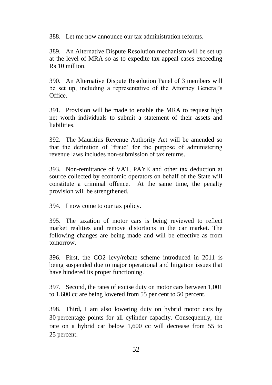388. Let me now announce our tax administration reforms.

389. An Alternative Dispute Resolution mechanism will be set up at the level of MRA so as to expedite tax appeal cases exceeding Rs 10 million.

390. An Alternative Dispute Resolution Panel of 3 members will be set up, including a representative of the Attorney General's Office.

391. Provision will be made to enable the MRA to request high net worth individuals to submit a statement of their assets and liabilities.

392. The Mauritius Revenue Authority Act will be amended so that the definition of 'fraud' for the purpose of administering revenue laws includes non-submission of tax returns.

393. Non-remittance of VAT, PAYE and other tax deduction at source collected by economic operators on behalf of the State will constitute a criminal offence. At the same time, the penalty provision will be strengthened.

394. I now come to our tax policy.

395. The taxation of motor cars is being reviewed to reflect market realities and remove distortions in the car market. The following changes are being made and will be effective as from tomorrow.

396. First, the CO2 levy/rebate scheme introduced in 2011 is being suspended due to major operational and litigation issues that have hindered its proper functioning.

397. Second, the rates of excise duty on motor cars between 1,001 to 1,600 cc are being lowered from 55 per cent to 50 percent.

398. Third**,** I am also lowering duty on hybrid motor cars by 30 percentage points for all cylinder capacity. Consequently, the rate on a hybrid car below 1,600 cc will decrease from 55 to 25 percent.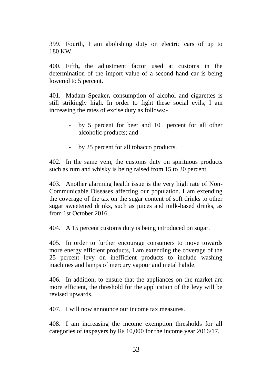399. Fourth, I am abolishing duty on electric cars of up to 180 KW.

400. Fifth**,** the adjustment factor used at customs in the determination of the import value of a second hand car is being lowered to 5 percent.

401. Madam Speaker**,** consumption of alcohol and cigarettes is still strikingly high. In order to fight these social evils, I am increasing the rates of excise duty as follows:-

- by 5 percent for beer and 10 percent for all other alcoholic products; and
- by 25 percent for all tobacco products.

402. In the same vein, the customs duty on spirituous products such as rum and whisky is being raised from 15 to 30 percent.

403. Another alarming health issue is the very high rate of Non-Communicable Diseases affecting our population. I am extending the coverage of the tax on the sugar content of soft drinks to other sugar sweetened drinks, such as juices and milk-based drinks, as from 1st October 2016.

404. A 15 percent customs duty is being introduced on sugar.

405. In order to further encourage consumers to move towards more energy efficient products, I am extending the coverage of the 25 percent levy on inefficient products to include washing machines and lamps of mercury vapour and metal halide.

406. In addition, to ensure that the appliances on the market are more efficient, the threshold for the application of the levy will be revised upwards.

407. I will now announce our income tax measures.

408. I am increasing the income exemption thresholds for all categories of taxpayers by Rs 10,000 for the income year 2016/17.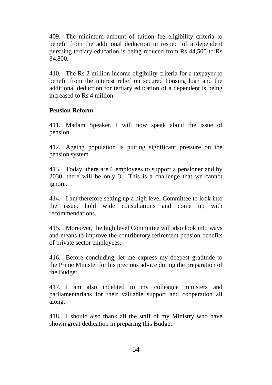409. The minimum amount of tuition fee eligibility criteria to benefit from the additional deduction in respect of a dependent pursuing tertiary education is being reduced from Rs 44,500 to Rs 34,800.

410. The Rs 2 million income eligibility criteria for a taxpayer to benefit from the interest relief on secured housing loan and the additional deduction for tertiary education of a dependent is being increased to Rs 4 million.

#### **Pension Reform**

411. Madam Speaker, I will now speak about the issue of pension.

412. Ageing population is putting significant pressure on the pension system.

413. Today, there are 6 employees to support a pensioner and by 2030, there will be only 3. This is a challenge that we cannot ignore.

414. I am therefore setting up a high level Committee to look into the issue, hold wide consultations and come up with recommendations.

415. Moreover, the high level Committee will also look into ways and means to improve the contributory retirement pension benefits of private sector employees.

416. Before concluding, let me express my deepest gratitude to the Prime Minister for his precious advice during the preparation of the Budget.

417. I am also indebted to my colleague ministers and parliamentarians for their valuable support and cooperation all along.

418. I should also thank all the staff of my Ministry who have shown great dedication in preparing this Budget.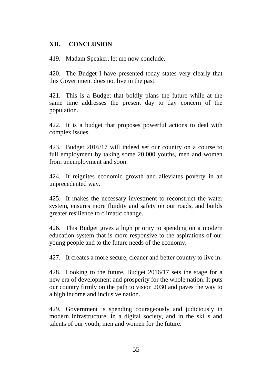## **XII. CONCLUSION**

419. Madam Speaker, let me now conclude.

420. The Budget I have presented today states very clearly that this Government does not live in the past.

421. This is a Budget that boldly plans the future while at the same time addresses the present day to day concern of the population.

422. It is a budget that proposes powerful actions to deal with complex issues.

423. Budget 2016/17 will indeed set our country on a course to full employment by taking some 20,000 youths, men and women from unemployment and soon.

424. It reignites economic growth and alleviates poverty in an unprecedented way.

425. It makes the necessary investment to reconstruct the water system, ensures more fluidity and safety on our roads, and builds greater resilience to climatic change.

426. This Budget gives a high priority to spending on a modern education system that is more responsive to the aspirations of our young people and to the future needs of the economy.

427. It creates a more secure, cleaner and better country to live in.

428. Looking to the future, Budget 2016/17 sets the stage for a new era of development and prosperity for the whole nation. It puts our country firmly on the path to vision 2030 and paves the way to a high income and inclusive nation.

429. Government is spending courageously and judiciously in modern infrastructure, in a digital society, and in the skills and talents of our youth, men and women for the future.